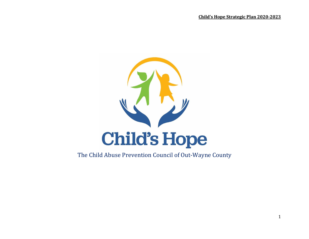

# The Child Abuse Prevention Council of Out-Wayne County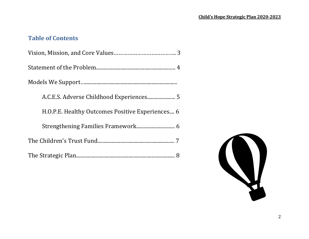# **Table of Contents**

| H.O.P.E. Healthy Outcomes Positive Experiences 6 |
|--------------------------------------------------|
| Strengthening Families Framework 6               |
|                                                  |
|                                                  |

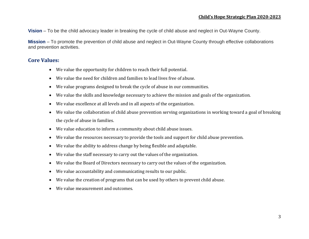**Vision** – To be the child advocacy leader in breaking the cycle of child abuse and neglect in Out-Wayne County.

**Mission** – To promote the prevention of child abuse and neglect in Out-Wayne County through effective collaborations and prevention activities.

## **Core Values:**

- We value the opportunity for children to reach their full potential.
- We value the need for children and families to lead lives free of abuse.
- We value programs designed to break the cycle of abuse in our communities.
- We value the skills and knowledge necessary to achieve the mission and goals of the organization.
- We value excellence at all levels and in all aspects of the organization.
- We value the collaboration of child abuse prevention serving organizations in working toward a goal of breaking the cycle of abuse in families.
- We value education to inform a community about child abuse issues.
- We value the resources necessary to provide the tools and support for child abuse prevention.
- We value the ability to address change by being flexible and adaptable.
- We value the staff necessary to carry out the values of the organization.
- We value the Board of Directors necessary to carry out the values of the organization.
- We value accountability and communicating results to our public.
- We value the creation of programs that can be used by others to prevent child abuse.
- We value measurement and outcomes.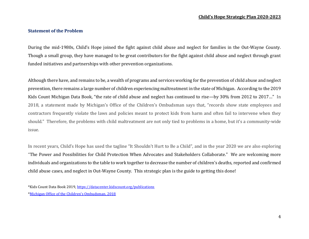#### **Statement of the Problem**

During the mid-1980s, Child's Hope joined the fight against child abuse and neglect for families in the Out-Wayne County. Though a small group, they have managed to be great contributors for the fight against child abuse and neglect through grant funded initiatives and partnerships with other prevention organizations.

Although there have, and remains to be, a wealth of programs and services working for the prevention of child abuse and neglect prevention, there remains a large number of children experiencing maltreatment in the state of Michigan. According to the 2019 Kids Count Michigan Data Book, "the rate of child abuse and neglect has continued to rise—by 30% from 2012 to 2017…" In 2018, a statement made by Michigan's Office of the Children's Ombudsman says that, "records show state employees and contractors frequently violate the laws and policies meant to protect kids from harm and often fail to intervene when they should." Therefore, the problems with child maltreatment are not only tied to problems in a home, but it's a community-wide issue.

In recent years, Child's Hope has used the tagline "It Shouldn't Hurt to Be a Child", and in the year 2020 we are also exploring "The Power and Possibilities for Child Protection When Advocates and Stakeholders Collaborate." We are welcoming more individuals and organizations to the table to work together to decrease the number of children's deaths, reported and confirmed child abuse cases, and neglect in Out-Wayne County. This strategic plan is the guide to getting this done!

<sup>\*</sup>Kids Count Data Book 2019[, https://datacenter.kidscount.org/publications](https://datacenter.kidscount.org/publications) \*[Michigan Office of the Children's Ombudsman, 2018](https://www.lansingstatejournal.com/story/news/local/watchdog/2018/05/03/michigan-dhhs-reform-child-abuse-neglect/513993002/)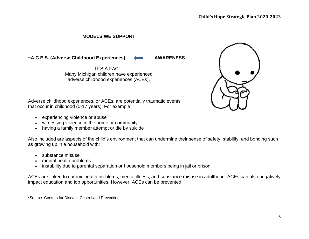### **MODELS WE SUPPORT**

~A.C.E.S. (Adverse Childhood Experiences) **4 AWARENESS** 

IT'S A FACT: Many Michigan children have experienced adverse childhood experiences (ACEs),



Adverse childhood experiences, or ACEs, are potentially traumatic events that occur in childhood (0-17 years). For example:

- experiencing violence or abuse
- witnessing violence in the home or community
- having a family member attempt or die by suicide

Also included are aspects of the child's environment that can undermine their sense of safety, stability, and bonding such as growing up in a household with:

- substance misuse
- mental health problems
- instability due to parental separation or household members being in jail or prison

ACEs are linked to chronic health problems, mental illness, and substance misuse in adulthood. ACEs can also negatively impact education and job opportunities. However, ACEs can be prevented.

\*Source: Centers for Disease Control and Prevention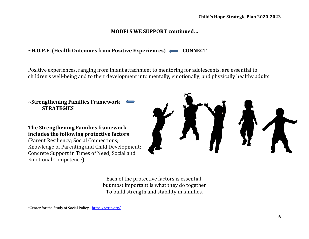# **MODELS WE SUPPORT continued…**

# $\sim$ H.O.P.E. (Health Outcomes from Positive Experiences)  $\leftarrow$  CONNECT

Positive experiences, ranging from infant attachment to mentoring for adolescents, are essential to children's well-being and to their development into mentally, emotionally, and physically healthy adults.

**~Strengthening Families Framework STRATEGIES**

**The Strengthening Families framework includes the following protective factors** (Parent Resiliency; Social Connections; Knowledge of Parenting and Child Development; Concrete Support in Times of Need; Social and Emotional Competence)



Each of the protective factors is essential; but most important is what they do together To build strength and stability in families.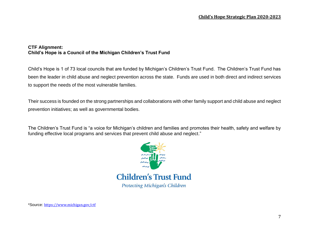### **CTF Alignment: Child's Hope is a Council of the Michigan Children's Trust Fund**

Child's Hope is 1 of 73 local councils that are funded by Michigan's Children's Trust Fund. The Children's Trust Fund has been the leader in child abuse and neglect prevention across the state. Funds are used in both direct and indirect services to support the needs of the most vulnerable families.

Their success is founded on the strong partnerships and collaborations with other family support and child abuse and neglect prevention initiatives; as well as governmental bodies.

The Children's Trust Fund is "a voice for Michigan's children and families and promotes their health, safety and welfare by funding effective local programs and services that prevent child abuse and neglect."



\*Source: <https://www.michigan.gov/ctf>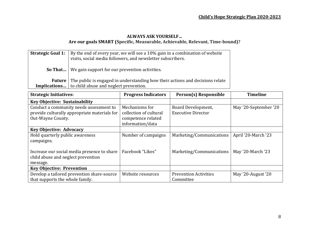### **ALWAYS ASK YOURSELF… Are our goals SMART (Specific, Measurable, Achievable, Relevant, Time-bound)?**

| <b>Strategic Goal 1:</b> | By the end of every year, we will see a 10% gain in a combination of website<br>visits, social media followers, and newsletter subscribers. |
|--------------------------|---------------------------------------------------------------------------------------------------------------------------------------------|
|                          | <b>So That</b> We gain support for our prevention activities.                                                                               |
|                          | <b>Future</b> The public is engaged in understanding how their actions and decisions relate                                                 |
|                          | <b>Implications</b> to child abuse and neglect prevention.                                                                                  |

| <b>Strategic Initiatives:</b>                | <b>Progress Indicators</b> | Person(s) Responsible        | <b>Timeline</b>       |  |  |
|----------------------------------------------|----------------------------|------------------------------|-----------------------|--|--|
| <b>Key Objective: Sustainability</b>         |                            |                              |                       |  |  |
| Conduct a community needs assessment to      | Mechanisms for             | Board Development,           | May '20-September '20 |  |  |
| provide culturally appropriate materials for | collection of cultural     | <b>Executive Director</b>    |                       |  |  |
| Out-Wayne County.                            | competence related         |                              |                       |  |  |
|                                              | information/data           |                              |                       |  |  |
| <b>Key Objective: Advocacy</b>               |                            |                              |                       |  |  |
| Hold quarterly public awareness              | Number of campaigns        | Marketing/Communications     | April '20-March '23   |  |  |
| campaigns.                                   |                            |                              |                       |  |  |
|                                              |                            |                              |                       |  |  |
| Increase our social media presence to share  | Facebook "Likes"           | Marketing/Communications     | May '20-March '23     |  |  |
| child abuse and neglect prevention           |                            |                              |                       |  |  |
| message.                                     |                            |                              |                       |  |  |
| <b>Key Objective: Prevention</b>             |                            |                              |                       |  |  |
| Develop a tailored prevention share-source   | Website resources          | <b>Prevention Activities</b> | May '20-August '20    |  |  |
| that supports the whole family.              |                            | Committee                    |                       |  |  |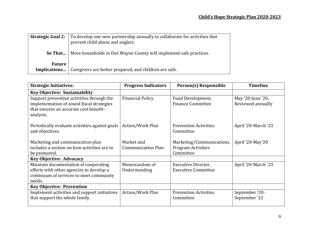| <b>Strategic Goal 2:</b> | To develop one new partnership annually to collaborate for activities that<br>prevent child abuse and neglect. |
|--------------------------|----------------------------------------------------------------------------------------------------------------|
|                          | <b>So That</b>   More households in Out-Wayne County will implement safe practices.                            |
| <b>Future</b>            | <b>Implications</b>   Caregivers are better prepared, and children are safe.                                   |

| <b>Strategic Initiatives:</b>                  | <b>Progress Indicators</b> | Person(s) Responsible        | <b>Timeline</b>     |  |  |
|------------------------------------------------|----------------------------|------------------------------|---------------------|--|--|
| <b>Key Objective: Sustainability</b>           |                            |                              |                     |  |  |
| Support prevention activities through the      | <b>Financial Policy</b>    | Fund Development,            | May '20-June '20,   |  |  |
| implementation of sound fiscal strategies      |                            | <b>Finance Committee</b>     | Reviewed annually   |  |  |
| that ensures an accurate cost benefit-         |                            |                              |                     |  |  |
| analysis.                                      |                            |                              |                     |  |  |
| Periodically evaluate activities against goals | Action/Work Plan           | <b>Prevention Activities</b> | April '20-March '23 |  |  |
| and objectives.                                |                            | Committee                    |                     |  |  |
|                                                |                            |                              |                     |  |  |
| Marketing and communication plan               | Market and                 | Marketing/Communications,    | April '20-May'20    |  |  |
| includes a section on how activities are to    | <b>Communication Plan</b>  | <b>Program Activities</b>    |                     |  |  |
| be promoted.                                   |                            | Committee                    |                     |  |  |
| <b>Key Objective: Advocacy</b>                 |                            |                              |                     |  |  |
| Maintain documentation of cooperating          | Memorandum of              | Executive Director,          | April '20-March '23 |  |  |
| efforts with other agencies to develop a       | Understanding              | <b>Executive Committee</b>   |                     |  |  |
| continuum of services to meet community        |                            |                              |                     |  |  |
| needs.                                         |                            |                              |                     |  |  |
| <b>Key Objective: Prevention</b>               |                            |                              |                     |  |  |
| Implement activities and support initiatives   | Action/Work Plan           | <b>Prevention Activities</b> | September '20-      |  |  |
| that support the whole family.                 |                            | Committee                    | September '22       |  |  |
|                                                |                            |                              |                     |  |  |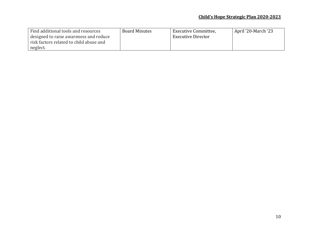| Find additional tools and resources     | <b>Board Minutes</b> | Executive Committee,      | April '20-March '23 |
|-----------------------------------------|----------------------|---------------------------|---------------------|
| designed to raise awareness and reduce  |                      | <b>Executive Director</b> |                     |
| risk factors related to child abuse and |                      |                           |                     |
| neglect.                                |                      |                           |                     |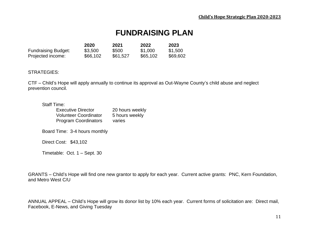# **FUNDRAISING PLAN**

|                            | 2020     | 2021     | 2022     | 2023     |
|----------------------------|----------|----------|----------|----------|
| <b>Fundraising Budget:</b> | \$3,500  | \$500    | \$1,000  | \$1,500  |
| Projected income:          | \$66,102 | \$61,527 | \$65,102 | \$69,602 |

#### STRATEGIES:

CTF – Child's Hope will apply annually to continue its approval as Out-Wayne County's child abuse and neglect prevention council.

#### Staff Time:

| <b>Executive Director</b>    | 20 hours weekly |
|------------------------------|-----------------|
| <b>Volunteer Coordinator</b> | 5 hours weekly  |
| <b>Program Coordinators</b>  | varies          |
|                              |                 |

Board Time: 3-4 hours monthly

Direct Cost: \$43,102

Timetable: Oct. 1 – Sept. 30

GRANTS – Child's Hope will find one new grantor to apply for each year. Current active grants: PNC, Kern Foundation, and Metro West C/U

ANNUAL APPEAL – Child's Hope will grow its donor list by 10% each year. Current forms of solicitation are: Direct mail, Facebook, E-News, and Giving Tuesday